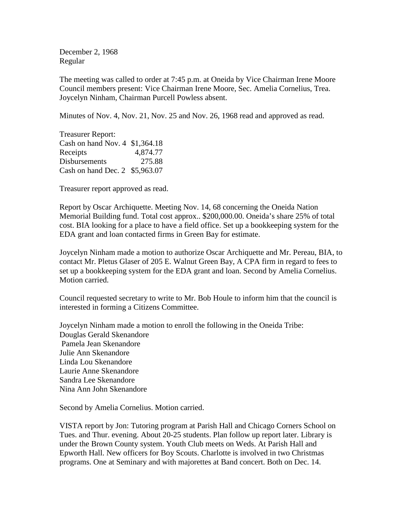December 2, 1968 Regular

The meeting was called to order at 7:45 p.m. at Oneida by Vice Chairman Irene Moore Council members present: Vice Chairman Irene Moore, Sec. Amelia Cornelius, Trea. Joycelyn Ninham, Chairman Purcell Powless absent.

Minutes of Nov. 4, Nov. 21, Nov. 25 and Nov. 26, 1968 read and approved as read.

Treasurer Report: Cash on hand Nov. 4 \$1,364.18 Receipts 4,874.77 Disbursements 275.88 Cash on hand Dec. 2 \$5,963.07

Treasurer report approved as read.

Report by Oscar Archiquette. Meeting Nov. 14, 68 concerning the Oneida Nation Memorial Building fund. Total cost approx.. \$200,000.00. Oneida's share 25% of total cost. BIA looking for a place to have a field office. Set up a bookkeeping system for the EDA grant and loan contacted firms in Green Bay for estimate.

Joycelyn Ninham made a motion to authorize Oscar Archiquette and Mr. Pereau, BIA, to contact Mr. Pletus Glaser of 205 E. Walnut Green Bay, A CPA firm in regard to fees to set up a bookkeeping system for the EDA grant and loan. Second by Amelia Cornelius. Motion carried.

Council requested secretary to write to Mr. Bob Houle to inform him that the council is interested in forming a Citizens Committee.

Joycelyn Ninham made a motion to enroll the following in the Oneida Tribe: Douglas Gerald Skenandore Pamela Jean Skenandore Julie Ann Skenandore Linda Lou Skenandore Laurie Anne Skenandore Sandra Lee Skenandore Nina Ann John Skenandore

Second by Amelia Cornelius. Motion carried.

VISTA report by Jon: Tutoring program at Parish Hall and Chicago Corners School on Tues. and Thur. evening. About 20-25 students. Plan follow up report later. Library is under the Brown County system. Youth Club meets on Weds. At Parish Hall and Epworth Hall. New officers for Boy Scouts. Charlotte is involved in two Christmas programs. One at Seminary and with majorettes at Band concert. Both on Dec. 14.